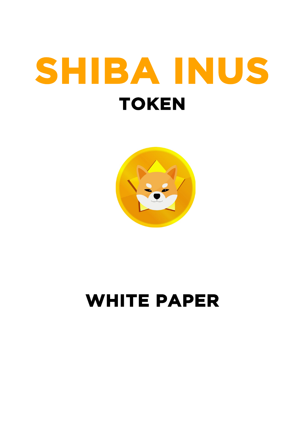# **SHIBA INUS TOKEN**



## **WHITE PAPER**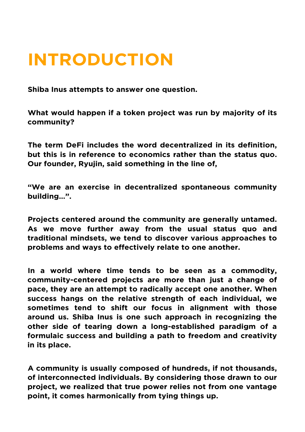#### **INTRODUCTION**

**Shiba Inus attempts to answer one question.**

**What would happen if a token project was run by majority of its community?**

**The term DeFi includes the word decentralized in its definition, but this is in reference to economics rather than the status quo. Our founder, Ryujin, said something in the line of,** 

**"We are an exercise in decentralized spontaneous community building…".**

**Projects centered around the community are generally untamed. As we move further away from the usual status quo and traditional mindsets, we tend to discover various approaches to problems and ways to effectively relate to one another.**

**In a world where time tends to be seen as a commodity, community-centered projects are more than just a change of pace, they are an attempt to radically accept one another. When success hangs on the relative strength of each individual, we sometimes tend to shift our focus in alignment with those around us. Shiba Inus is one such approach in recognizing the other side of tearing down a long-established paradigm of a formulaic success and building a path to freedom and creativity in its place.**

**A community is usually composed of hundreds, if not thousands, of interconnected individuals. By considering those drawn to our project, we realized that true power relies not from one vantage point, it comes harmonically from tying things up.**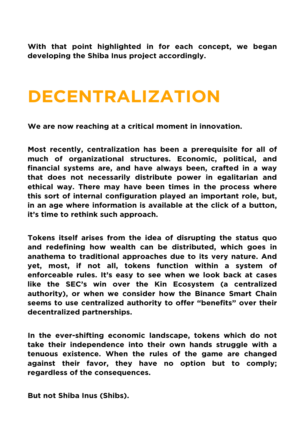**With that point highlighted in for each concept, we began developing the Shiba Inus project accordingly.**

#### **DECENTRALIZATION**

**We are now reaching at a critical moment in innovation.**

**Most recently, centralization has been a prerequisite for all of much of organizational structures. Economic, political, and financial systems are, and have always been, crafted in a way that does not necessarily distribute power in egalitarian and ethical way. There may have been times in the process where this sort of internal configuration played an important role, but, in an age where information is available at the click of a button, it's time to rethink such approach.**

**Tokens itself arises from the idea of disrupting the status quo and redefining how wealth can be distributed, which goes in anathema to traditional approaches due to its very nature. And yet, most, if not all, tokens function within a system of enforceable rules. It's easy to see when we look back at cases like the SEC's win over the Kin Ecosystem (a centralized authority), or when we consider how the Binance Smart Chain seems to use centralized authority to offer "benefits" over their decentralized partnerships.**

**In the ever-shifting economic landscape, tokens which do not take their independence into their own hands struggle with a tenuous existence. When the rules of the game are changed against their favor, they have no option but to comply; regardless of the consequences.**

**But not Shiba Inus (Shibs).**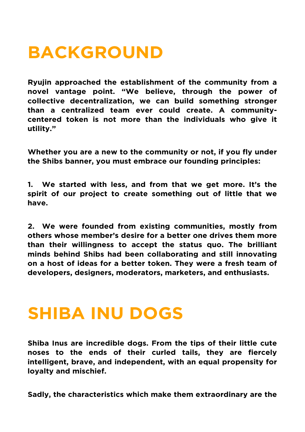#### **BACKGROUND**

**Ryujin approached the establishment of the community from a novel vantage point. "We believe, through the power of collective decentralization, we can build something stronger than a centralized team ever could create. A communitycentered token is not more than the individuals who give it utility."**

**Whether you are a new to the community or not, if you fly under the Shibs banner, you must embrace our founding principles:**

**1. We started with less, and from that we get more. It's the spirit of our project to create something out of little that we have.**

**2. We were founded from existing communities, mostly from others whose member's desire for a better one drives them more than their willingness to accept the status quo. The brilliant minds behind Shibs had been collaborating and still innovating on a host of ideas for a better token. They were a fresh team of developers, designers, moderators, marketers, and enthusiasts.**

#### **SHIBA INU DOGS**

**Shiba Inus are incredible dogs. From the tips of their little cute noses to the ends of their curled tails, they are fiercely intelligent, brave, and independent, with an equal propensity for loyalty and mischief.**

**Sadly, the characteristics which make them extraordinary are the**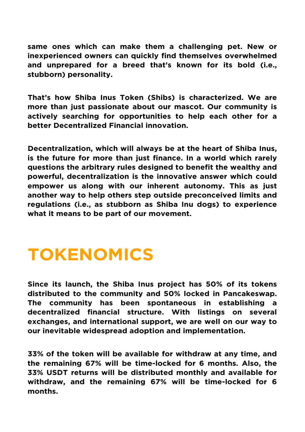**same ones which can make them a challenging pet. New or inexperienced owners can quickly find themselves overwhelmed and unprepared for a breed that's known for its bold (i.e., stubborn) personality.**

**That's how Shiba Inus Token (Shibs) is characterized. We are more than just passionate about our mascot. Our community is actively searching for opportunities to help each other for a better Decentralized Financial innovation.**

**Decentralization, which will always be at the heart of Shiba Inus, is the future for more than just finance. In a world which rarely questions the arbitrary rules designed to benefit the wealthy and powerful, decentralization is the innovative answer which could empower us along with our inherent autonomy. This as just another way to help others step outside preconceived limits and regulations (i.e., as stubborn as Shiba Inu dogs) to experience what it means to be part of our movement.**

#### **TOKENOMICS**

**Since its launch, the Shiba Inus project has 50% of its tokens distributed to the community and 50% locked in Pancakeswap. The community has been spontaneous in establishing a decentralized financial structure. With listings on several exchanges, and international support, we are well on our way to our inevitable widespread adoption and implementation.**

**33% of the token will be available for withdraw at any time, and the remaining 67% will be time-locked for 6 months. Also, the 33% USDT returns will be distributed monthly and available for withdraw, and the remaining 67% will be time-locked for 6 months.**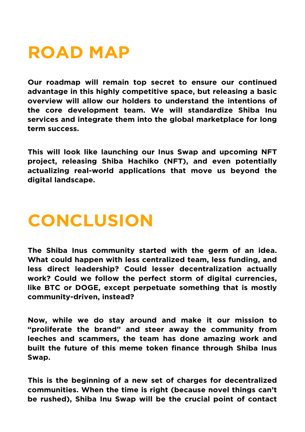#### **ROAD MAP**

**Our roadmap will remain top secret to ensure our continued advantage in this highly competitive space, but releasing a basic overview will allow our holders to understand the intentions of the core development team. We will standardize Shiba Inu services and integrate them into the global marketplace for long term success.**

**This will look like launching our Inus Swap and upcoming NFT project, releasing Shiba Hachiko (NFT), and even potentially actualizing real-world applications that move us beyond the digital landscape.**

### **CONCLUSION**

**The Shiba Inus community started with the germ of an idea. What could happen with less centralized team, less funding, and less direct leadership? Could lesser decentralization actually work? Could we follow the perfect storm of digital currencies, like BTC or DOGE, except perpetuate something that is mostly community-driven, instead?**

**Now, while we do stay around and make it our mission to "proliferate the brand" and steer away the community from leeches and scammers, the team has done amazing work and built the future of this meme token finance through Shiba Inus Swap.**

**This is the beginning of a new set of charges for decentralized communities. When the time is right (because novel things can't be rushed), Shiba Inu Swap will be the crucial point of contact**